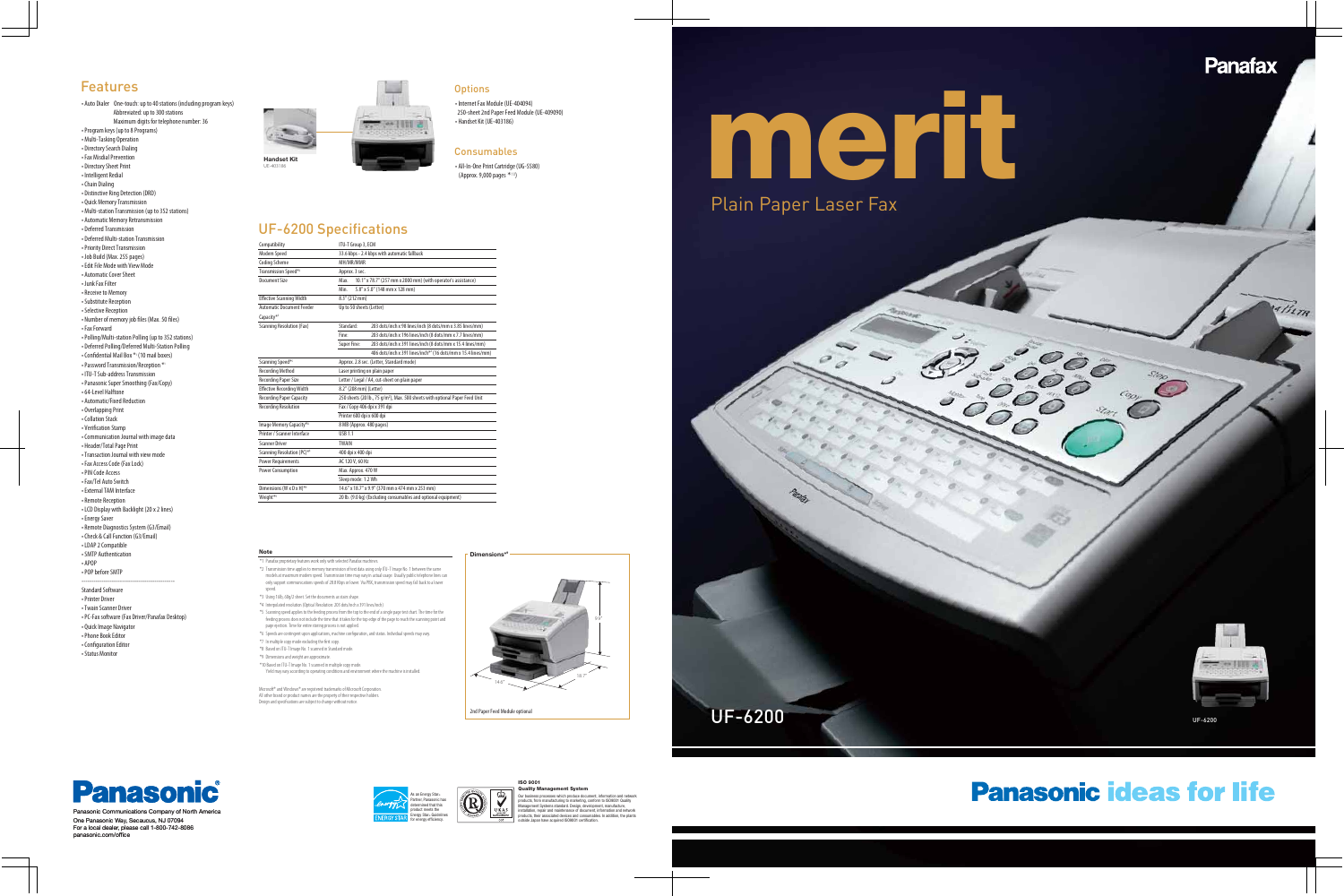# **merit**



UF-6200

# **Panasonic ideas for life**



Our business processes which produce document, information and network products, from manufacturing to marketing, conform to ISO9001 Quality Management Systems standard. Design, development, manufacture, installation, repair and maintenance of document, information and network products, their associated devices and consumables. In addition, the plants outside Japan have acquired ISO9001 certification.



AlleTA



Panasonic Communications Company of North Americ One Panasonic Way, Secaucus, NJ 07094 For a local dealer, please call 1-800-742-8086 panasonic.com/office

®



# UF-6200



## UF-6200 Specifications

### Features

Microsoft® and Windows® are registered trademarks of Microsoft Corporation. All other brand or product names are the property of their respective holders. Design and specifications are subject to change without notice.

#### **Note**

- \*1 Panafax proprietary features work only with selected Panafax machines. \*2 Transmission time applies to memory transmission of text data using only ITU-T Image No. 1 between the same
- models at maximum modem speed. Transmission time may vary in actual usage. Usually public telephone lines can only support communications speeds of 28.8 Kbps or lower. Via PBX, transmission speed may fall back to a lower speed.
- \*3 Using 16lb, 60g/2 sheet. Set the documents as stairs shape.
- \*4 Interpolated resolution (Optical Resolution: 203 dots/inch x 391 lines/inch)
- \*5 Scanning speed applies to the feeding process from the top to the end of a single page test chart. The time for the feeding process does not include the time that it takes for the top edge of the page to reach the scanning point and
- page ejection. Time for entire storing process is not applied.
- \*6 Speeds are contingent upon applications, machine configuration, and status. Individual speeds may vary.
- \*7 In multiple copy mode excluding the first copy. \*8 Based on ITU-T Image No. 1 scanned in Standard mode.
- \*9 Dimensions and weight are approximate.
- \*10 Based on ITU-T Image No. 1 scanned in multiple copy mode.
- Yield may vary according to operating conditions and environment where the machine is installed.

| Compatibility                       | ITU-T Group 3, ECM                                                                       |
|-------------------------------------|------------------------------------------------------------------------------------------|
| Modem Speed                         | 33.6 kbps - 2.4 kbps with automatic fallback                                             |
| <b>Coding Scheme</b>                | MH/MR/MMR                                                                                |
| Transmission Speed* <sup>2</sup>    | Approx. 3 sec.                                                                           |
| Document Size                       | 10.1" x 78.7" (257 mm x 2000 mm) (with operator's assistance)<br>Max.                    |
|                                     | 5.8" x 5.0" (148 mm x 128 mm)<br>Min.                                                    |
| <b>Effective Scanning Width</b>     | 8.3" (212 mm)                                                                            |
| <b>Automatic Document Feeder</b>    | Up to 50 sheets (Letter)                                                                 |
| Capacity*3                          |                                                                                          |
| <b>Scanning Resolution (Fax)</b>    | Standard:<br>203 dots/inch x 98 lines/inch (8 dots/mm x 3.85 lines/mm)                   |
|                                     | Fine <sup>-</sup><br>203 dots/inch x 196 lines/inch (8 dots/mm x 7.7 lines/mm)           |
|                                     | Super Fine:<br>203 dots/inch x 391 lines/inch (8 dots/mm x 15.4 lines/mm)                |
|                                     | 406 dots/inch x 391 lines/inch** (16 dots/mm x 15.4 lines/mm)                            |
| Scanning Speed*5                    | Approx. 2.8 sec. (Letter, Standard mode)                                                 |
| <b>Recording Method</b>             | Laser printing on plain paper                                                            |
| <b>Recording Paper Size</b>         | Letter / Legal / A4, cut-sheet on plain paper                                            |
| <b>Effective Recording Width</b>    | 8.2" (208 mm) (Letter)                                                                   |
| <b>Recording Paper Capacity</b>     | 250 sheets (20 lb., 75 g/m <sup>2</sup> ), Max. 500 sheets with optional Paper Feed Unit |
| <b>Recording Resolution</b>         | Fax / Copy 406 dpi x 391 dpi                                                             |
|                                     | Printer 600 dpi x 600 dpi                                                                |
| Image Memory Capacity* <sup>8</sup> | 8 MB (Approx. 480 pages)                                                                 |
| Printer / Scanner Interface         | <b>USB 1.1</b>                                                                           |
| <b>Scanner Driver</b>               | <b>TWAIN</b>                                                                             |
| Scanning Resolution (PC)*4          | 400 dpi x 400 dpi                                                                        |
| <b>Power Requirements</b>           | AC 120 V, 60 Hz                                                                          |
| <b>Power Consumption</b>            | Max. Approx. 470 W                                                                       |
|                                     | Sleep mode: 1.2 Wh                                                                       |
| Dimensions (W x D x H)*9            | 14.6" x 18.7" x 9.9" (370 mm x 474 mm x 253 mm)                                          |
| Weight*9                            | 20 lb. (9.0 kg) (Excluding consumables and optional equipment)                           |





#### **Options**

• Auto Dialer One-touch: up to 40 stations (including program keys) Abbreviated: up to 300 stations Maximum digits for telephone number: 36 • Program keys (up to 8 Programs) • Multi-Tasking Operation • Directory Search Dialing • Fax Misdial Prevention • Directory Sheet Print • Intelligent Redial • Chain Dialing • Distinctive Ring Detection (DRD) • Quick Memory Transmission • Multi-station Transmission (up to 352 stations) • Automatic Memory Retransmission • Deferred Transmission • Deferred Multi-station Transmission • Priority Direct Transmission • Job Build (Max. 255 pages) • Edit File Mode with View Mode • Automatic Cover Sheet • Junk Fax Filter • Receive to Memory • Substitute Reception • Selective Reception • Number of memory job files (Max. 50 files) • Fax Forward • Polling/Multi-station Polling (up to 352 stations) • Deferred Polling/Deferred Multi-Station Polling • Confidential Mail Box \* 1 (10 mail boxes) • Password Transmission/Reception \* • ITU-T Sub-address Transmission • Panasonic Super Smoothing (Fax/Copy) • 64-Level Halftone • Automatic/Fixed Reduction • Overlapping Print • Collation Stack • Verification Stamp • Communication Journal with image data • Header/Total Page Print • Transaction Journal with view mode • Fax Access Code (Fax Lock) • PIN Code Access • Fax/Tel Auto Switch • External TAM Interface • Remote Reception • LCD Display with Backlight (20 x 2 lines)

• Energy Saver • Remote Diagnostics System (G3/Email) • Check & Call Function (G3/Email) • LDAP 2 Compatible • SMTP Authentication

• APOP • POP before SMTP

---------------------------------------------- Standard Software • Printer Driver • Twain Scanner Driver • PC-Fax software (Fax Driver/Panafax Desktop) • Quick Image Navigator • Phone Book Editor • Configuration Editor • Status Monitor

• Internet Fax Module (UE-404094) 250-sheet 2nd Paper Feed Module (UE-409090) • Handset Kit (UE-403186)

# Consumables

• All-In-One Print Cartridge (UG-5580) (Approx. 9,000 pages \*10 )

**9**